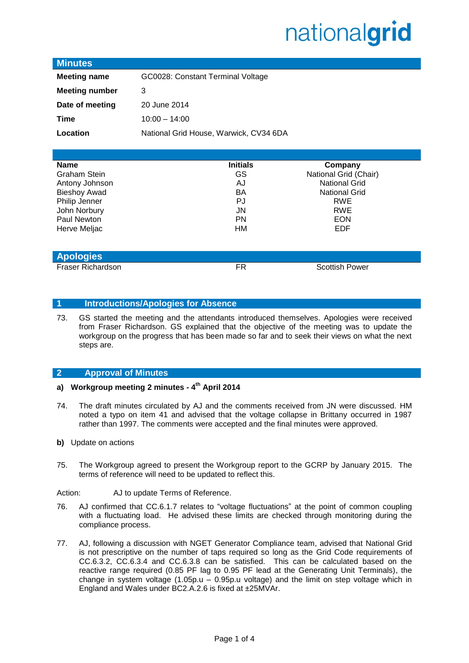# nationalgrid

### **Minutes**

| <b>Meeting name</b>   | GC0028: Constant Terminal Voltage      |
|-----------------------|----------------------------------------|
| <b>Meeting number</b> | 3                                      |
| Date of meeting       | 20 June 2014                           |
| Time                  | $10:00 - 14:00$                        |
| Location              | National Grid House, Warwick, CV34 6DA |

| <b>Name</b>         | <b>Initials</b> | Company               |
|---------------------|-----------------|-----------------------|
| <b>Graham Stein</b> | GS              | National Grid (Chair) |
| Antony Johnson      | AJ              | <b>National Grid</b>  |
| <b>Bieshoy Awad</b> | BA              | <b>National Grid</b>  |
| Philip Jenner       | PJ              | <b>RWE</b>            |
| John Norbury        | JN              | <b>RWE</b>            |
| Paul Newton         | <b>PN</b>       | <b>EON</b>            |
| Herve Meljac        | НM              | <b>EDF</b>            |
|                     |                 |                       |
|                     |                 |                       |
| <b>Apologies</b>    |                 |                       |

Fraser Richardson **FR** Scottish Power

#### **1 Introductions/Apologies for Absence**

73. GS started the meeting and the attendants introduced themselves. Apologies were received from Fraser Richardson. GS explained that the objective of the meeting was to update the workgroup on the progress that has been made so far and to seek their views on what the next steps are.

### **2 Approval of Minutes**

- **a) Workgroup meeting 2 minutes - 4 th April 2014**
- 74. The draft minutes circulated by AJ and the comments received from JN were discussed. HM noted a typo on item 41 and advised that the voltage collapse in Brittany occurred in 1987 rather than 1997. The comments were accepted and the final minutes were approved.
- **b)** Update on actions
- 75. The Workgroup agreed to present the Workgroup report to the GCRP by January 2015. The terms of reference will need to be updated to reflect this.

Action: AJ to update Terms of Reference.

- 76. AJ confirmed that CC.6.1.7 relates to "voltage fluctuations" at the point of common coupling with a fluctuating load. He advised these limits are checked through monitoring during the compliance process.
- 77. AJ, following a discussion with NGET Generator Compliance team, advised that National Grid is not prescriptive on the number of taps required so long as the Grid Code requirements of CC.6.3.2, CC.6.3.4 and CC.6.3.8 can be satisfied. This can be calculated based on the reactive range required (0.85 PF lag to 0.95 PF lead at the Generating Unit Terminals), the change in system voltage (1.05p.u – 0.95p.u voltage) and the limit on step voltage which in England and Wales under BC2.A.2.6 is fixed at ±25MVAr.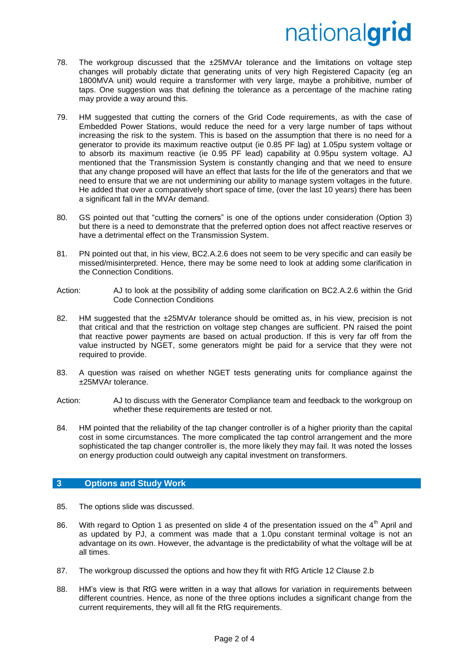# nationalgrid

- 78. The workgroup discussed that the ±25MVAr tolerance and the limitations on voltage step changes will probably dictate that generating units of very high Registered Capacity (eg an 1800MVA unit) would require a transformer with very large, maybe a prohibitive, number of taps. One suggestion was that defining the tolerance as a percentage of the machine rating may provide a way around this.
- 79. HM suggested that cutting the corners of the Grid Code requirements, as with the case of Embedded Power Stations, would reduce the need for a very large number of taps without increasing the risk to the system. This is based on the assumption that there is no need for a generator to provide its maximum reactive output (ie 0.85 PF lag) at 1.05pu system voltage or to absorb its maximum reactive (ie 0.95 PF lead) capability at 0.95pu system voltage. AJ mentioned that the Transmission System is constantly changing and that we need to ensure that any change proposed will have an effect that lasts for the life of the generators and that we need to ensure that we are not undermining our ability to manage system voltages in the future. He added that over a comparatively short space of time, (over the last 10 years) there has been a significant fall in the MVAr demand.
- 80. GS pointed out that "cutting the corners" is one of the options under consideration (Option 3) but there is a need to demonstrate that the preferred option does not affect reactive reserves or have a detrimental effect on the Transmission System.
- 81. PN pointed out that, in his view, BC2.A.2.6 does not seem to be very specific and can easily be missed/misinterpreted. Hence, there may be some need to look at adding some clarification in the Connection Conditions.
- Action: AJ to look at the possibility of adding some clarification on BC2.A.2.6 within the Grid Code Connection Conditions
- 82. HM suggested that the ±25MVAr tolerance should be omitted as, in his view, precision is not that critical and that the restriction on voltage step changes are sufficient. PN raised the point that reactive power payments are based on actual production. If this is very far off from the value instructed by NGET, some generators might be paid for a service that they were not required to provide.
- 83. A question was raised on whether NGET tests generating units for compliance against the ±25MVAr tolerance.
- Action: AJ to discuss with the Generator Compliance team and feedback to the workgroup on whether these requirements are tested or not.
- 84. HM pointed that the reliability of the tap changer controller is of a higher priority than the capital cost in some circumstances. The more complicated the tap control arrangement and the more sophisticated the tap changer controller is, the more likely they may fail. It was noted the losses on energy production could outweigh any capital investment on transformers.

### **3 Options and Study Work**

- 85. The options slide was discussed.
- 86. With regard to Option 1 as presented on slide 4 of the presentation issued on the  $4<sup>th</sup>$  April and as updated by PJ, a comment was made that a 1.0pu constant terminal voltage is not an advantage on its own. However, the advantage is the predictability of what the voltage will be at all times.
- 87. The workgroup discussed the options and how they fit with RfG Article 12 Clause 2.b
- 88. HM's view is that RfG were written in a way that allows for variation in requirements between different countries. Hence, as none of the three options includes a significant change from the current requirements, they will all fit the RfG requirements.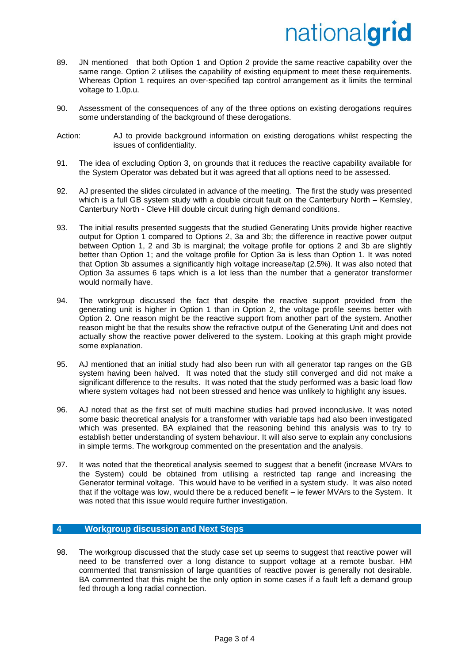# nationalgrid

- 89. JN mentioned that both Option 1 and Option 2 provide the same reactive capability over the same range. Option 2 utilises the capability of existing equipment to meet these requirements. Whereas Option 1 requires an over-specified tap control arrangement as it limits the terminal voltage to 1.0p.u.
- 90. Assessment of the consequences of any of the three options on existing derogations requires some understanding of the background of these derogations.
- Action: AJ to provide background information on existing derogations whilst respecting the issues of confidentiality.
- 91. The idea of excluding Option 3, on grounds that it reduces the reactive capability available for the System Operator was debated but it was agreed that all options need to be assessed.
- 92. AJ presented the slides circulated in advance of the meeting. The first the study was presented which is a full GB system study with a double circuit fault on the Canterbury North – Kemsley, Canterbury North - Cleve Hill double circuit during high demand conditions.
- 93. The initial results presented suggests that the studied Generating Units provide higher reactive output for Option 1 compared to Options 2, 3a and 3b; the difference in reactive power output between Option 1, 2 and 3b is marginal; the voltage profile for options 2 and 3b are slightly better than Option 1; and the voltage profile for Option 3a is less than Option 1. It was noted that Option 3b assumes a significantly high voltage increase/tap (2.5%). It was also noted that Option 3a assumes 6 taps which is a lot less than the number that a generator transformer would normally have.
- 94. The workgroup discussed the fact that despite the reactive support provided from the generating unit is higher in Option 1 than in Option 2, the voltage profile seems better with Option 2. One reason might be the reactive support from another part of the system. Another reason might be that the results show the refractive output of the Generating Unit and does not actually show the reactive power delivered to the system. Looking at this graph might provide some explanation.
- 95. AJ mentioned that an initial study had also been run with all generator tap ranges on the GB system having been halved. It was noted that the study still converged and did not make a significant difference to the results. It was noted that the study performed was a basic load flow where system voltages had not been stressed and hence was unlikely to highlight any issues.
- 96. AJ noted that as the first set of multi machine studies had proved inconclusive. It was noted some basic theoretical analysis for a transformer with variable taps had also been investigated which was presented. BA explained that the reasoning behind this analysis was to try to establish better understanding of system behaviour. It will also serve to explain any conclusions in simple terms. The workgroup commented on the presentation and the analysis.
- 97. It was noted that the theoretical analysis seemed to suggest that a benefit (increase MVArs to the System) could be obtained from utilising a restricted tap range and increasing the Generator terminal voltage. This would have to be verified in a system study. It was also noted that if the voltage was low, would there be a reduced benefit – ie fewer MVArs to the System. It was noted that this issue would require further investigation.

### **4 Workgroup discussion and Next Steps**

98. The workgroup discussed that the study case set up seems to suggest that reactive power will need to be transferred over a long distance to support voltage at a remote busbar. HM commented that transmission of large quantities of reactive power is generally not desirable. BA commented that this might be the only option in some cases if a fault left a demand group fed through a long radial connection.